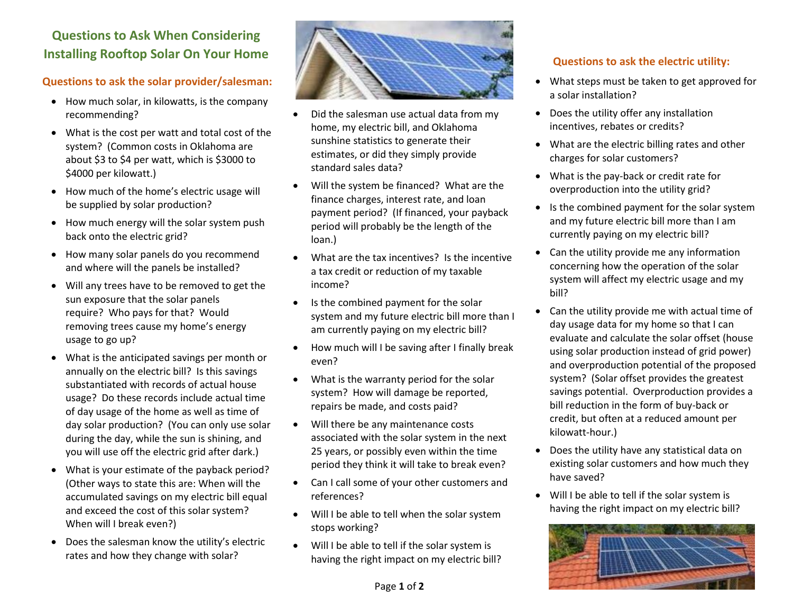# **Questions to Ask When Considering Installing Rooftop Solar On Your Home**

## **Questions to ask the solar provider/salesman:**

- How much solar, in kilowatts, is the company recommending?
- What is the cost per watt and total cost of the system? (Common costs in Oklahoma are about \$3 to \$4 per watt, which is \$3000 to \$4000 per kilowatt.)
- How much of the home's electric usage will be supplied by solar production?
- How much energy will the solar system push back onto the electric grid?
- How many solar panels do you recommend and where will the panels be installed?
- Will any trees have to be removed to get the sun exposure that the solar panels require? Who pays for that? Would removing trees cause my home's energy usage to go up?
- What is the anticipated savings per month or annually on the electric bill? Is this savings substantiated with records of actual house usage? Do these records include actual time of day usage of the home as well as time of day solar production? (You can only use solar during the day, while the sun is shining, and you will use off the electric grid after dark.)
- What is your estimate of the payback period? (Other ways to state this are: When will the accumulated savings on my electric bill equal and exceed the cost of this solar system? When will I break even?)
- Does the salesman know the utility's electric rates and how they change with solar?



- Did the salesman use actual data from my home, my electric bill, and Oklahoma sunshine statistics to generate their estimates, or did they simply provide standard sales data?
- Will the system be financed? What are the finance charges, interest rate, and loan payment period? (If financed, your payback period will probably be the length of the loan.)
- What are the tax incentives? Is the incentive a tax credit or reduction of my taxable income?
- Is the combined payment for the solar system and my future electric bill more than I am currently paying on my electric bill?
- How much will I be saving after I finally break even?
- What is the warranty period for the solar system? How will damage be reported, repairs be made, and costs paid?
- Will there be any maintenance costs associated with the solar system in the next 25 years, or possibly even within the time period they think it will take to break even?
- Can I call some of your other customers and references?
- Will I be able to tell when the solar system stops working?
- Will I be able to tell if the solar system is having the right impact on my electric bill?

# **Questions to ask the electric utility:**

- What steps must be taken to get approved for a solar installation?
- Does the utility offer any installation incentives, rebates or credits?
- What are the electric billing rates and other charges for solar customers?
- What is the pay-back or credit rate for overproduction into the utility grid?
- Is the combined payment for the solar system and my future electric bill more than I am currently paying on my electric bill?
- Can the utility provide me any information concerning how the operation of the solar system will affect my electric usage and my bill?
- Can the utility provide me with actual time of day usage data for my home so that I can evaluate and calculate the solar offset (house using solar production instead of grid power) and overproduction potential of the proposed system? (Solar offset provides the greatest savings potential. Overproduction provides a bill reduction in the form of buy-back or credit, but often at a reduced amount per kilowatt-hour.)
- Does the utility have any statistical data on existing solar customers and how much they have saved?
- Will I be able to tell if the solar system is having the right impact on my electric bill?